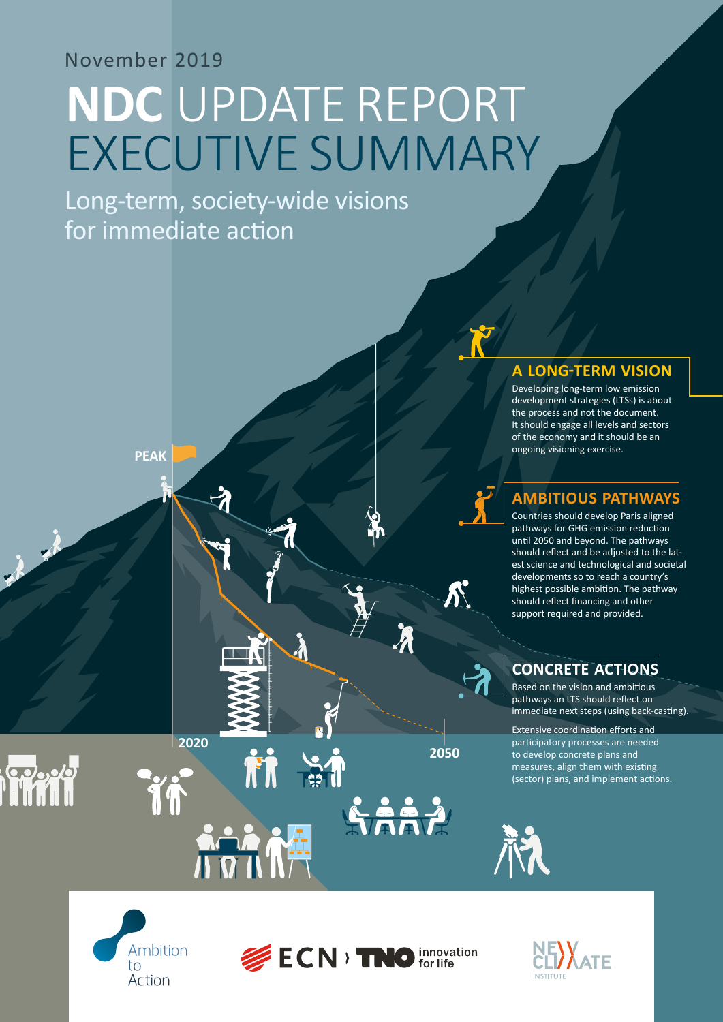# November 2019

# **NDC** UPDATE REPORT EXECUTIVE SUMMARY

Long-term, society-wide visions for immediate action

**PEAK**

**2020**

ĨÍ

**TR** 

 $\frac{1}{2}$ 

### **A LONG-TERM VISION**

Developing long-term low emission development strategies (LTSs) is about the process and not the document. It should engage all levels and sectors of the economy and it should be an ongoing visioning exercise.

# **AMBITIOUS PATHWAYS**

Countries should develop Paris aligned pathways for GHG emission reduction until 2050 and beyond. The pathways should reflect and be adjusted to the latest science and technological and societal developments so to reach a country's highest possible ambition. The pathway should reflect financing and other support required and provided.

# **CONCRETE ACTIONS**

Based on the vision and ambitious pathways an LTS should reflect on immediate next steps (using back-casting).

Extensive coordination efforts and participatory processes are needed to develop concrete plans and measures, align them with existing (sector) plans, and implement actions.



 $\mathbb{R}^{7}$ 



**2050**

Saaz

 $\boldsymbol{\mathcal{N}}$ 



科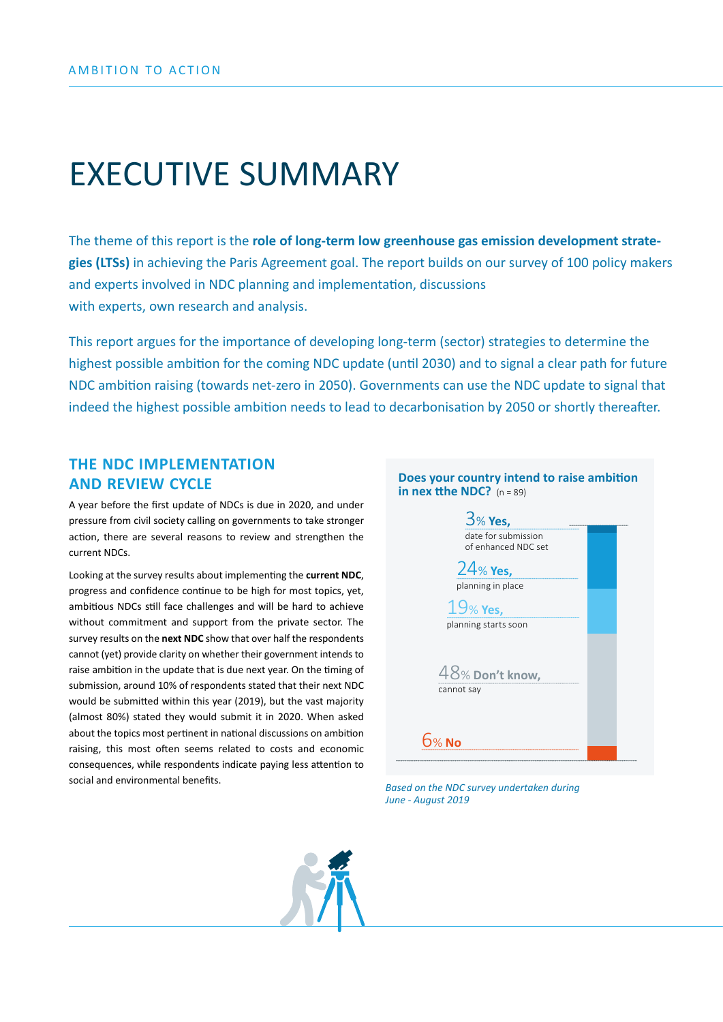# EXECUTIVE SUMMARY

The theme of this report is the **role of long-term low greenhouse gas emission development strategies (LTSs)** in achieving the Paris Agreement goal. The report builds on our survey of 100 policy makers and experts involved in NDC planning and implementation, discussions with experts, own research and analysis.

This report argues for the importance of developing long-term (sector) strategies to determine the highest possible ambition for the coming NDC update (until 2030) and to signal a clear path for future NDC ambition raising (towards net-zero in 2050). Governments can use the NDC update to signal that indeed the highest possible ambition needs to lead to decarbonisation by 2050 or shortly thereafter.

### **THE NDC IMPLEMENTATION AND REVIEW CYCLE**

A year before the first update of NDCs is due in 2020, and under pressure from civil society calling on governments to take stronger action, there are several reasons to review and strengthen the current NDCs.

Looking at the survey results about implementing the **current NDC**, progress and confidence continue to be high for most topics, yet, ambitious NDCs still face challenges and will be hard to achieve without commitment and support from the private sector. The survey results on the **next NDC** show that over half the respondents cannot (yet) provide clarity on whether their government intends to raise ambition in the update that is due next year. On the timing of submission, around 10% of respondents stated that their next NDC would be submitted within this year (2019), but the vast majority (almost 80%) stated they would submit it in 2020. When asked about the topics most pertinent in national discussions on ambition raising, this most often seems related to costs and economic consequences, while respondents indicate paying less attention to social and environmental benefits. *Based on the NDC survey undertaken during* 



*June - August 2019*

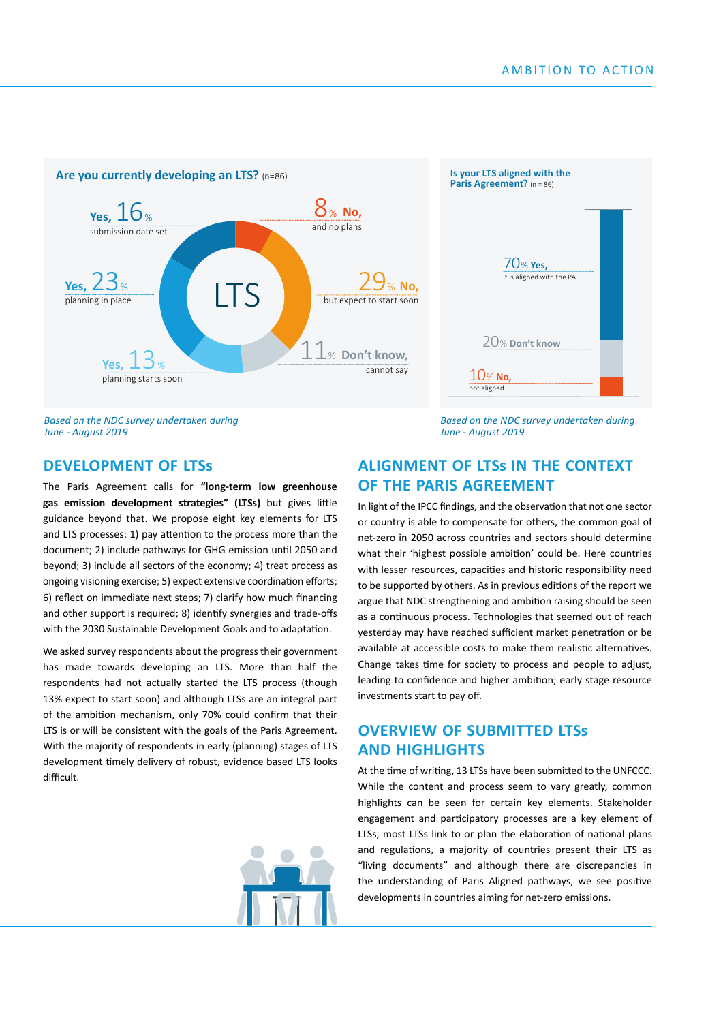

*Based on the NDC survey undertaken during June - August 2019*

*Based on the NDC survey undertaken during June - August 2019*

#### **DEVELOPMENT OF LTSs**

The Paris Agreement calls for **"long-term low greenhouse gas emission development strategies" (LTSs)** but gives little guidance beyond that. We propose eight key elements for LTS and LTS processes: 1) pay attention to the process more than the document; 2) include pathways for GHG emission until 2050 and beyond; 3) include all sectors of the economy; 4) treat process as ongoing visioning exercise; 5) expect extensive coordination efforts; 6) reflect on immediate next steps; 7) clarify how much financing and other support is required; 8) identify synergies and trade-offs with the 2030 Sustainable Development Goals and to adaptation.

We asked survey respondents about the progress their government has made towards developing an LTS. More than half the respondents had not actually started the LTS process (though 13% expect to start soon) and although LTSs are an integral part of the ambition mechanism, only 70% could confirm that their LTS is or will be consistent with the goals of the Paris Agreement. With the majority of respondents in early (planning) stages of LTS development timely delivery of robust, evidence based LTS looks difficult.



#### **ALIGNMENT OF LTSs IN THE CONTEXT OF THE PARIS AGREEMENT**

In light of the IPCC findings, and the observation that not one sector or country is able to compensate for others, the common goal of net-zero in 2050 across countries and sectors should determine what their 'highest possible ambition' could be. Here countries with lesser resources, capacities and historic responsibility need to be supported by others. As in previous editions of the report we argue that NDC strengthening and ambition raising should be seen as a continuous process. Technologies that seemed out of reach yesterday may have reached sufficient market penetration or be available at accessible costs to make them realistic alternatives. Change takes time for society to process and people to adjust, leading to confidence and higher ambition; early stage resource investments start to pay off.

### **OVERVIEW OF SUBMITTED LTSs AND HIGHLIGHTS**

At the time of writing, 13 LTSs have been submitted to the UNFCCC. While the content and process seem to vary greatly, common highlights can be seen for certain key elements. Stakeholder engagement and participatory processes are a key element of LTSs, most LTSs link to or plan the elaboration of national plans and regulations, a majority of countries present their LTS as "living documents" and although there are discrepancies in the understanding of Paris Aligned pathways, we see positive developments in countries aiming for net-zero emissions.